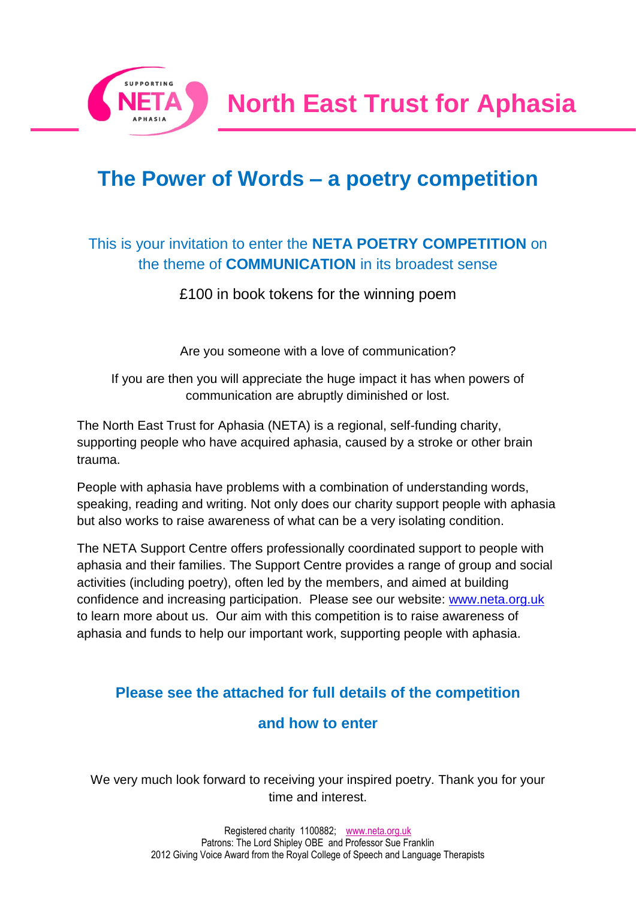

# **The Power of Words – a poetry competition**

## This is your invitation to enter the **NETA POETRY COMPETITION** on the theme of **COMMUNICATION** in its broadest sense

£100 in book tokens for the winning poem

Are you someone with a love of communication?

If you are then you will appreciate the huge impact it has when powers of communication are abruptly diminished or lost.

The North East Trust for Aphasia (NETA) is a regional, self-funding charity, supporting people who have acquired aphasia, caused by a stroke or other brain trauma.

People with aphasia have problems with a combination of understanding words, speaking, reading and writing. Not only does our charity support people with aphasia but also works to raise awareness of what can be a very isolating condition.

The NETA Support Centre offers professionally coordinated support to people with aphasia and their families. The Support Centre provides a range of group and social activities (including poetry), often led by the members, and aimed at building confidence and increasing participation. Please see our website: [www.neta.org.uk](http://www.neta.org.uk/)  to learn more about us. Our aim with this competition is to raise awareness of aphasia and funds to help our important work, supporting people with aphasia.

## **Please see the attached for full details of the competition**

### **and how to enter**

We very much look forward to receiving your inspired poetry. Thank you for your time and interest.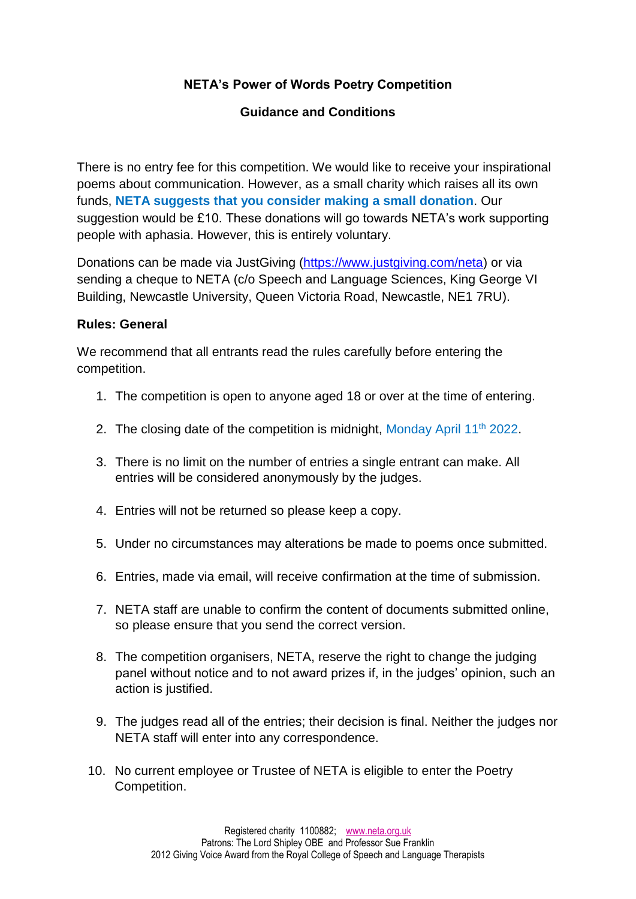#### **NETA's Power of Words Poetry Competition**

#### **Guidance and Conditions**

There is no entry fee for this competition. We would like to receive your inspirational poems about communication. However, as a small charity which raises all its own funds, **NETA suggests that you consider making a small donation**. Our suggestion would be £10. These donations will go towards NETA's work supporting people with aphasia. However, this is entirely voluntary.

Donations can be made via JustGiving [\(https://www.justgiving.com/neta\)](https://www.justgiving.com/neta) or via sending a cheque to NETA (c/o Speech and Language Sciences, King George VI Building, Newcastle University, Queen Victoria Road, Newcastle, NE1 7RU).

#### **Rules: General**

We recommend that all entrants read the rules carefully before entering the competition.

- 1. The competition is open to anyone aged 18 or over at the time of entering.
- 2. The closing date of the competition is midnight, Monday April 11<sup>th</sup> 2022.
- 3. There is no limit on the number of entries a single entrant can make. All entries will be considered anonymously by the judges.
- 4. Entries will not be returned so please keep a copy.
- 5. Under no circumstances may alterations be made to poems once submitted.
- 6. Entries, made via email, will receive confirmation at the time of submission.
- 7. NETA staff are unable to confirm the content of documents submitted online, so please ensure that you send the correct version.
- 8. The competition organisers, NETA, reserve the right to change the judging panel without notice and to not award prizes if, in the judges' opinion, such an action is justified.
- 9. The judges read all of the entries; their decision is final. Neither the judges nor NETA staff will enter into any correspondence.
- 10. No current employee or Trustee of NETA is eligible to enter the Poetry Competition.